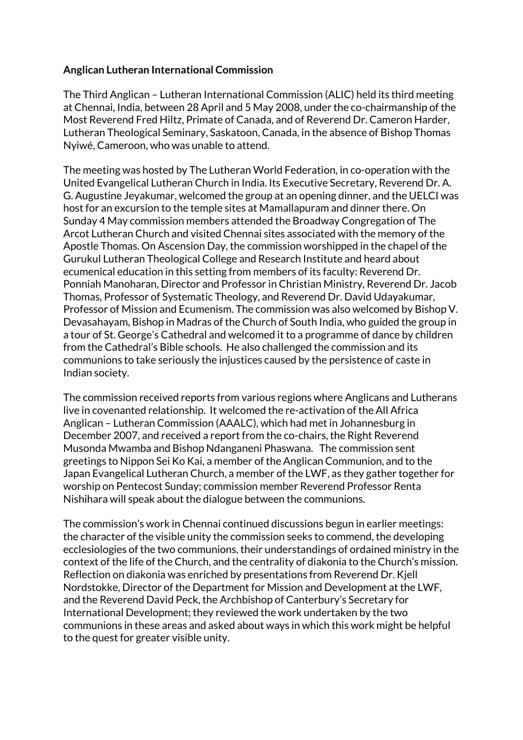## **Anglican Lutheran International Commission**

The Third Anglican – Lutheran International Commission (ALIC) held its third meeting at Chennai, India, between 28 April and 5 May 2008, under the co-chairmanship of the Most Reverend Fred Hiltz, Primate of Canada, and of Reverend Dr. Cameron Harder, Lutheran Theological Seminary, Saskatoon, Canada, in the absence of Bishop Thomas Nyiwé, Cameroon, who was unable to attend.

The meeting was hosted by The Lutheran World Federation, in co-operation with the United Evangelical Lutheran Church in India. Its Executive Secretary, Reverend Dr. A. G. Augustine Jeyakumar, welcomed the group at an opening dinner, and the UELCI was host for an excursion to the temple sites at Mamallapuram and dinner there. On Sunday 4 May commission members attended the Broadway Congregation of The Arcot Lutheran Church and visited Chennai sites associated with the memory of the Apostle Thomas. On Ascension Day, the commission worshipped in the chapel of the Gurukul Lutheran Theological College and Research Institute and heard about ecumenical education in this setting from members of its faculty: Reverend Dr. Ponniah Manoharan, Director and Professor in Christian Ministry, Reverend Dr. Jacob Thomas, Professor of Systematic Theology, and Reverend Dr. David Udayakumar, Professor of Mission and Ecumenism. The commission was also welcomed by Bishop V. Devasahayam, Bishop in Madras of the Church of South India, who guided the group in a tour of St. George's Cathedral and welcomed it to a programme of dance by children from the Cathedral's Bible schools. He also challenged the commission and its communions to take seriously the injustices caused by the persistence of caste in Indian society.

The commission received reports from various regions where Anglicans and Lutherans live in covenanted relationship. It welcomed the re-activation of the All Africa Anglican – Lutheran Commission (AAALC), which had met in Johannesburg in December 2007, and received a report from the co-chairs, the Right Reverend Musonda Mwamba and Bishop Ndanganeni Phaswana. The commission sent greetings to Nippon Sei Ko Kai, a member of the Anglican Communion, and to the Japan Evangelical Lutheran Church, a member of the LWF, as they gather together for worship on Pentecost Sunday; commission member Reverend Professor Renta Nishihara will speak about the dialogue between the communions.

The commission's work in Chennai continued discussions begun in earlier meetings: the character of the visible unity the commission seeks to commend, the developing ecclesiologies of the two communions, their understandings of ordained ministry in the context of the life of the Church, and the centrality of diakonia to the Church's mission. Reflection on diakonia was enriched by presentations from Reverend Dr. Kjell Nordstokke, Director of the Department for Mission and Development at the LWF, and the Reverend David Peck, the Archbishop of Canterbury's Secretary for International Development; they reviewed the work undertaken by the two communions in these areas and asked about ways in which this work might be helpful to the quest for greater visible unity.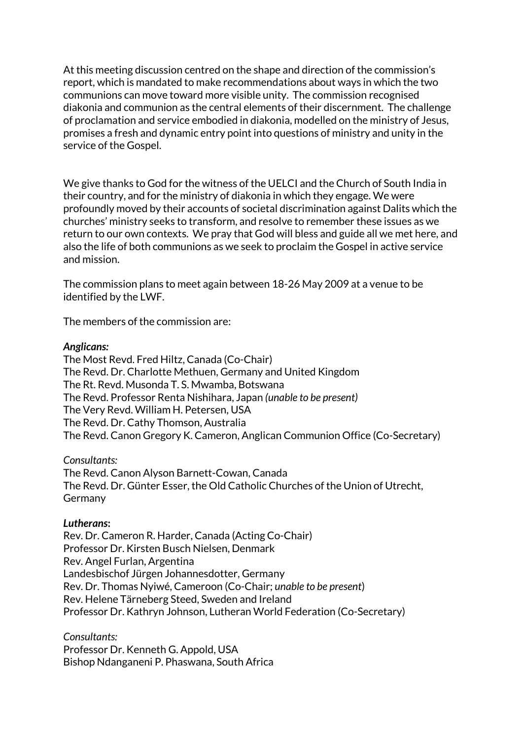At this meeting discussion centred on the shape and direction of the commission's report, which is mandated to make recommendations about ways in which the two communions can move toward more visible unity. The commission recognised diakonia and communion as the central elements of their discernment. The challenge of proclamation and service embodied in diakonia, modelled on the ministry of Jesus, promises a fresh and dynamic entry point into questions of ministry and unity in the service of the Gospel.

We give thanks to God for the witness of the UELCI and the Church of South India in their country, and for the ministry of diakonia in which they engage. We were profoundly moved by their accounts of societal discrimination against Dalits which the churches' ministry seeks to transform, and resolve to remember these issues as we return to our own contexts. We pray that God will bless and guide all we met here, and also the life of both communions as we seek to proclaim the Gospel in active service and mission.

The commission plans to meet again between 18-26 May 2009 at a venue to be identified by the LWF.

The members of the commission are:

## *Anglicans:*

The Most Revd. Fred Hiltz, Canada (Co-Chair) The Revd. Dr. Charlotte Methuen, Germany and United Kingdom The Rt. Revd. Musonda T. S. Mwamba, Botswana The Revd. Professor Renta Nishihara, Japan *(unable to be present)* The Very Revd. William H. Petersen, USA The Revd. Dr. Cathy Thomson, Australia The Revd. Canon Gregory K. Cameron, Anglican Communion Office (Co-Secretary)

*Consultants:*

The Revd. Canon Alyson Barnett-Cowan, Canada The Revd. Dr. Günter Esser, the Old Catholic Churches of the Union of Utrecht, Germany

## *Lutherans***:**

Rev. Dr. Cameron R. Harder, Canada (Acting Co-Chair) Professor Dr. Kirsten Busch Nielsen, Denmark Rev. Angel Furlan, Argentina Landesbischof Jürgen Johannesdotter, Germany Rev. Dr. Thomas Nyiwé, Cameroon (Co-Chair; *unable to be present*) Rev. Helene Tärneberg Steed, Sweden and Ireland Professor Dr. Kathryn Johnson, Lutheran World Federation (Co-Secretary)

*Consultants:* Professor Dr. Kenneth G. Appold, USA Bishop Ndanganeni P. Phaswana, South Africa